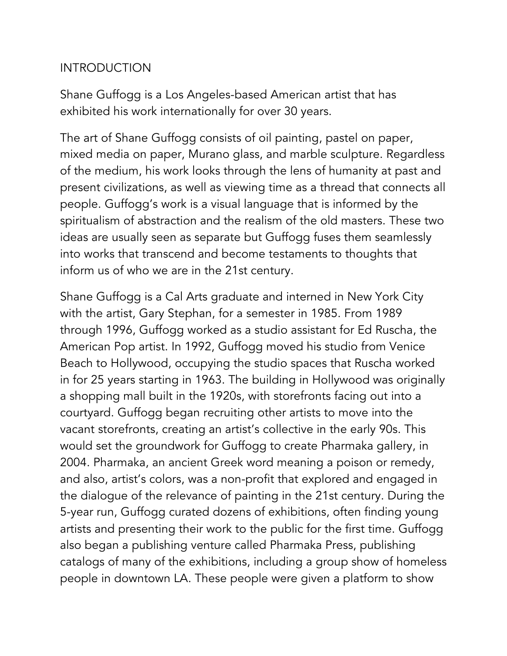## **INTRODUCTION**

Shane Guffogg is a Los Angeles-based American artist that has exhibited his work internationally for over 30 years.

The art of Shane Guffogg consists of oil painting, pastel on paper, mixed media on paper, Murano glass, and marble sculpture. Regardless of the medium, his work looks through the lens of humanity at past and present civilizations, as well as viewing time as a thread that connects all people. Guffogg's work is a visual language that is informed by the spiritualism of abstraction and the realism of the old masters. These two ideas are usually seen as separate but Guffogg fuses them seamlessly into works that transcend and become testaments to thoughts that inform us of who we are in the 21st century.

Shane Guffogg is a Cal Arts graduate and interned in New York City with the artist, Gary Stephan, for a semester in 1985. From 1989 through 1996, Guffogg worked as a studio assistant for Ed Ruscha, the American Pop artist. In 1992, Guffogg moved his studio from Venice Beach to Hollywood, occupying the studio spaces that Ruscha worked in for 25 years starting in 1963. The building in Hollywood was originally a shopping mall built in the 1920s, with storefronts facing out into a courtyard. Guffogg began recruiting other artists to move into the vacant storefronts, creating an artist's collective in the early 90s. This would set the groundwork for Guffogg to create Pharmaka gallery, in 2004. Pharmaka, an ancient Greek word meaning a poison or remedy, and also, artist's colors, was a non-profit that explored and engaged in the dialogue of the relevance of painting in the 21st century. During the 5-year run, Guffogg curated dozens of exhibitions, often finding young artists and presenting their work to the public for the first time. Guffogg also began a publishing venture called Pharmaka Press, publishing catalogs of many of the exhibitions, including a group show of homeless people in downtown LA. These people were given a platform to show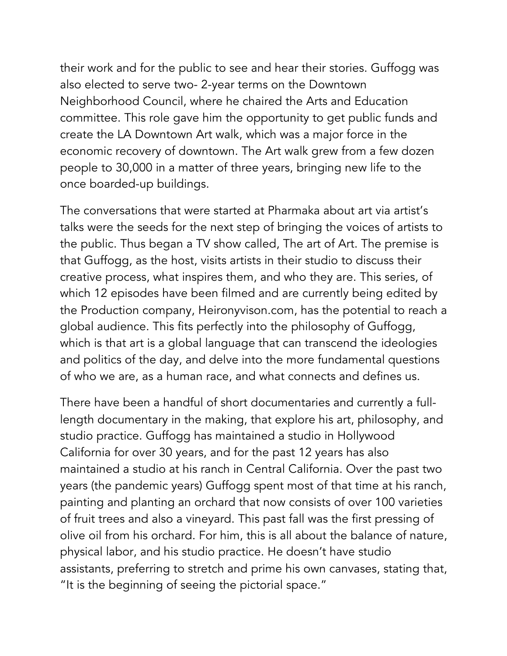their work and for the public to see and hear their stories. Guffogg was also elected to serve two- 2-year terms on the Downtown Neighborhood Council, where he chaired the Arts and Education committee. This role gave him the opportunity to get public funds and create the LA Downtown Art walk, which was a major force in the economic recovery of downtown. The Art walk grew from a few dozen people to 30,000 in a matter of three years, bringing new life to the once boarded-up buildings.

The conversations that were started at Pharmaka about art via artist's talks were the seeds for the next step of bringing the voices of artists to the public. Thus began a TV show called, The art of Art. The premise is that Guffogg, as the host, visits artists in their studio to discuss their creative process, what inspires them, and who they are. This series, of which 12 episodes have been filmed and are currently being edited by the Production company, Heironyvison.com, has the potential to reach a global audience. This fits perfectly into the philosophy of Guffogg, which is that art is a global language that can transcend the ideologies and politics of the day, and delve into the more fundamental questions of who we are, as a human race, and what connects and defines us.

There have been a handful of short documentaries and currently a fulllength documentary in the making, that explore his art, philosophy, and studio practice. Guffogg has maintained a studio in Hollywood California for over 30 years, and for the past 12 years has also maintained a studio at his ranch in Central California. Over the past two years (the pandemic years) Guffogg spent most of that time at his ranch, painting and planting an orchard that now consists of over 100 varieties of fruit trees and also a vineyard. This past fall was the first pressing of olive oil from his orchard. For him, this is all about the balance of nature, physical labor, and his studio practice. He doesn't have studio assistants, preferring to stretch and prime his own canvases, stating that, "It is the beginning of seeing the pictorial space."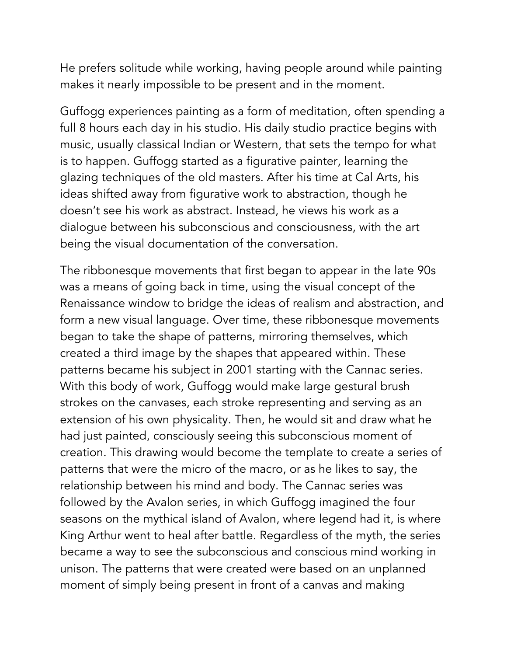He prefers solitude while working, having people around while painting makes it nearly impossible to be present and in the moment.

Guffogg experiences painting as a form of meditation, often spending a full 8 hours each day in his studio. His daily studio practice begins with music, usually classical Indian or Western, that sets the tempo for what is to happen. Guffogg started as a figurative painter, learning the glazing techniques of the old masters. After his time at Cal Arts, his ideas shifted away from figurative work to abstraction, though he doesn't see his work as abstract. Instead, he views his work as a dialogue between his subconscious and consciousness, with the art being the visual documentation of the conversation.

The ribbonesque movements that first began to appear in the late 90s was a means of going back in time, using the visual concept of the Renaissance window to bridge the ideas of realism and abstraction, and form a new visual language. Over time, these ribbonesque movements began to take the shape of patterns, mirroring themselves, which created a third image by the shapes that appeared within. These patterns became his subject in 2001 starting with the Cannac series. With this body of work, Guffogg would make large gestural brush strokes on the canvases, each stroke representing and serving as an extension of his own physicality. Then, he would sit and draw what he had just painted, consciously seeing this subconscious moment of creation. This drawing would become the template to create a series of patterns that were the micro of the macro, or as he likes to say, the relationship between his mind and body. The Cannac series was followed by the Avalon series, in which Guffogg imagined the four seasons on the mythical island of Avalon, where legend had it, is where King Arthur went to heal after battle. Regardless of the myth, the series became a way to see the subconscious and conscious mind working in unison. The patterns that were created were based on an unplanned moment of simply being present in front of a canvas and making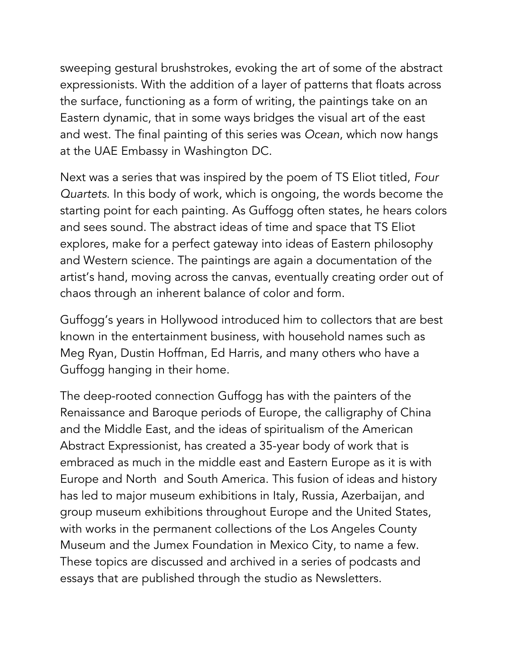sweeping gestural brushstrokes, evoking the art of some of the abstract expressionists. With the addition of a layer of patterns that floats across the surface, functioning as a form of writing, the paintings take on an Eastern dynamic, that in some ways bridges the visual art of the east and west. The final painting of this series was *Ocean*, which now hangs at the UAE Embassy in Washington DC.

Next was a series that was inspired by the poem of TS Eliot titled, *Four Quartets*. In this body of work, which is ongoing, the words become the starting point for each painting. As Guffogg often states, he hears colors and sees sound. The abstract ideas of time and space that TS Eliot explores, make for a perfect gateway into ideas of Eastern philosophy and Western science. The paintings are again a documentation of the artist's hand, moving across the canvas, eventually creating order out of chaos through an inherent balance of color and form.

Guffogg's years in Hollywood introduced him to collectors that are best known in the entertainment business, with household names such as Meg Ryan, Dustin Hoffman, Ed Harris, and many others who have a Guffogg hanging in their home.

The deep-rooted connection Guffogg has with the painters of the Renaissance and Baroque periods of Europe, the calligraphy of China and the Middle East, and the ideas of spiritualism of the American Abstract Expressionist, has created a 35-year body of work that is embraced as much in the middle east and Eastern Europe as it is with Europe and North and South America. This fusion of ideas and history has led to major museum exhibitions in Italy, Russia, Azerbaijan, and group museum exhibitions throughout Europe and the United States, with works in the permanent collections of the Los Angeles County Museum and the Jumex Foundation in Mexico City, to name a few. These topics are discussed and archived in a series of podcasts and essays that are published through the studio as Newsletters.